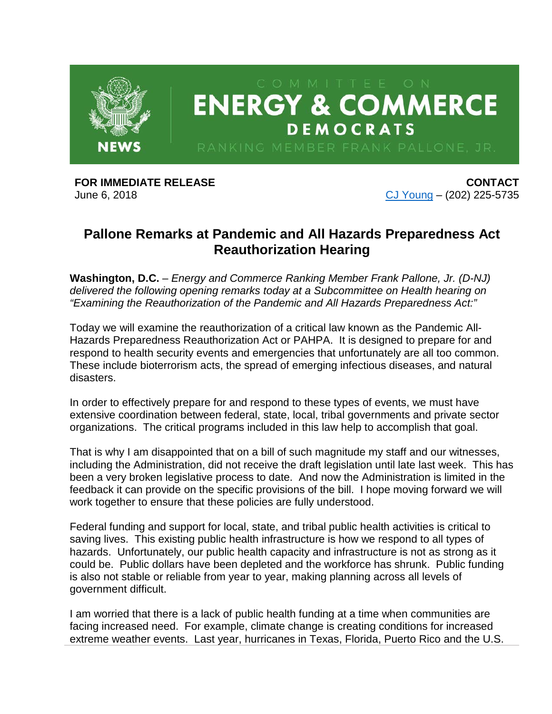

**FOR IMMEDIATE RELEASE** June 6, 2018

**CONTACT** [CJ Young](mailto:cj.young@mail.house.gov) – (202) 225-5735

## **Pallone Remarks at Pandemic and All Hazards Preparedness Act Reauthorization Hearing**

**Washington, D.C.** – *Energy and Commerce Ranking Member Frank Pallone, Jr. (D-NJ) delivered the following opening remarks today at a Subcommittee on Health hearing on "Examining the Reauthorization of the Pandemic and All Hazards Preparedness Act:"*

Today we will examine the reauthorization of a critical law known as the Pandemic All-Hazards Preparedness Reauthorization Act or PAHPA. It is designed to prepare for and respond to health security events and emergencies that unfortunately are all too common. These include bioterrorism acts, the spread of emerging infectious diseases, and natural disasters.

In order to effectively prepare for and respond to these types of events, we must have extensive coordination between federal, state, local, tribal governments and private sector organizations. The critical programs included in this law help to accomplish that goal.

That is why I am disappointed that on a bill of such magnitude my staff and our witnesses, including the Administration, did not receive the draft legislation until late last week. This has been a very broken legislative process to date. And now the Administration is limited in the feedback it can provide on the specific provisions of the bill. I hope moving forward we will work together to ensure that these policies are fully understood.

Federal funding and support for local, state, and tribal public health activities is critical to saving lives. This existing public health infrastructure is how we respond to all types of hazards. Unfortunately, our public health capacity and infrastructure is not as strong as it could be. Public dollars have been depleted and the workforce has shrunk. Public funding is also not stable or reliable from year to year, making planning across all levels of government difficult.

I am worried that there is a lack of public health funding at a time when communities are facing increased need. For example, climate change is creating conditions for increased extreme weather events. Last year, hurricanes in Texas, Florida, Puerto Rico and the U.S.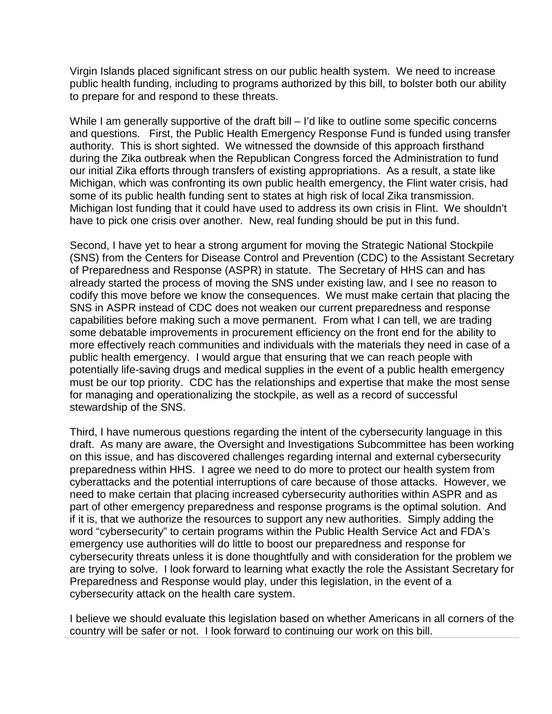Virgin Islands placed significant stress on our public health system. We need to increase public health funding, including to programs authorized by this bill, to bolster both our ability to prepare for and respond to these threats.

While I am generally supportive of the draft bill – I'd like to outline some specific concerns and questions. First, the Public Health Emergency Response Fund is funded using transfer authority. This is short sighted. We witnessed the downside of this approach firsthand during the Zika outbreak when the Republican Congress forced the Administration to fund our initial Zika efforts through transfers of existing appropriations. As a result, a state like Michigan, which was confronting its own public health emergency, the Flint water crisis, had some of its public health funding sent to states at high risk of local Zika transmission. Michigan lost funding that it could have used to address its own crisis in Flint. We shouldn't have to pick one crisis over another. New, real funding should be put in this fund.

Second, I have yet to hear a strong argument for moving the Strategic National Stockpile (SNS) from the Centers for Disease Control and Prevention (CDC) to the Assistant Secretary of Preparedness and Response (ASPR) in statute. The Secretary of HHS can and has already started the process of moving the SNS under existing law, and I see no reason to codify this move before we know the consequences. We must make certain that placing the SNS in ASPR instead of CDC does not weaken our current preparedness and response capabilities before making such a move permanent. From what I can tell, we are trading some debatable improvements in procurement efficiency on the front end for the ability to more effectively reach communities and individuals with the materials they need in case of a public health emergency. I would argue that ensuring that we can reach people with potentially life-saving drugs and medical supplies in the event of a public health emergency must be our top priority. CDC has the relationships and expertise that make the most sense for managing and operationalizing the stockpile, as well as a record of successful stewardship of the SNS.

Third, I have numerous questions regarding the intent of the cybersecurity language in this draft. As many are aware, the Oversight and Investigations Subcommittee has been working on this issue, and has discovered challenges regarding internal and external cybersecurity preparedness within HHS. I agree we need to do more to protect our health system from cyberattacks and the potential interruptions of care because of those attacks. However, we need to make certain that placing increased cybersecurity authorities within ASPR and as part of other emergency preparedness and response programs is the optimal solution. And if it is, that we authorize the resources to support any new authorities. Simply adding the word "cybersecurity" to certain programs within the Public Health Service Act and FDA's emergency use authorities will do little to boost our preparedness and response for cybersecurity threats unless it is done thoughtfully and with consideration for the problem we are trying to solve. I look forward to learning what exactly the role the Assistant Secretary for Preparedness and Response would play, under this legislation, in the event of a cybersecurity attack on the health care system.

I believe we should evaluate this legislation based on whether Americans in all corners of the country will be safer or not. I look forward to continuing our work on this bill.